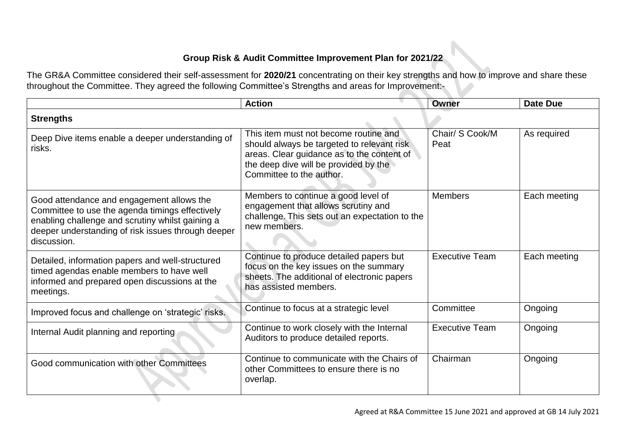## **Group Risk & Audit Committee Improvement Plan for 2021/22**

The GR&A Committee considered their self-assessment for **2020/21** concentrating on their key strengths and how to improve and share these throughout the Committee. They agreed the following Committee's Strengths and areas for Improvement:-

|                                                                                                                                                                                                                       | <b>Action</b>                                                                                                                                                                                          | <b>Owner</b>            | <b>Date Due</b> |
|-----------------------------------------------------------------------------------------------------------------------------------------------------------------------------------------------------------------------|--------------------------------------------------------------------------------------------------------------------------------------------------------------------------------------------------------|-------------------------|-----------------|
| <b>Strengths</b>                                                                                                                                                                                                      |                                                                                                                                                                                                        |                         |                 |
| Deep Dive items enable a deeper understanding of<br>risks.                                                                                                                                                            | This item must not become routine and<br>should always be targeted to relevant risk<br>areas. Clear guidance as to the content of<br>the deep dive will be provided by the<br>Committee to the author. | Chair/ S Cook/M<br>Peat | As required     |
| Good attendance and engagement allows the<br>Committee to use the agenda timings effectively<br>enabling challenge and scrutiny whilst gaining a<br>deeper understanding of risk issues through deeper<br>discussion. | Members to continue a good level of<br>engagement that allows scrutiny and<br>challenge. This sets out an expectation to the<br>new members.                                                           | <b>Members</b>          | Each meeting    |
| Detailed, information papers and well-structured<br>timed agendas enable members to have well<br>informed and prepared open discussions at the<br>meetings.                                                           | Continue to produce detailed papers but<br>focus on the key issues on the summary<br>sheets. The additional of electronic papers<br>has assisted members.                                              | <b>Executive Team</b>   | Each meeting    |
| Improved focus and challenge on 'strategic' risks.                                                                                                                                                                    | Continue to focus at a strategic level                                                                                                                                                                 | Committee               | Ongoing         |
| Internal Audit planning and reporting                                                                                                                                                                                 | Continue to work closely with the Internal<br>Auditors to produce detailed reports.                                                                                                                    | <b>Executive Team</b>   | Ongoing         |
| Good communication with other Committees                                                                                                                                                                              | Continue to communicate with the Chairs of<br>other Committees to ensure there is no<br>overlap.                                                                                                       | Chairman                | Ongoing         |